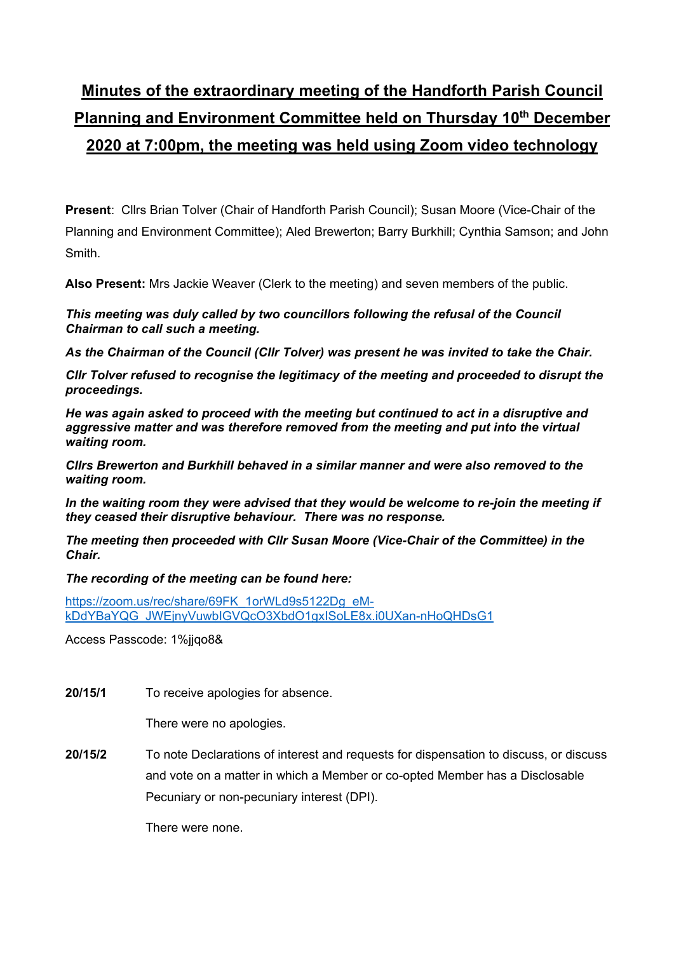# **Minutes of the extraordinary meeting of the Handforth Parish Council Planning and Environment Committee held on Thursday 10<sup>th</sup> December 2020 at 7:00pm, the meeting was held using Zoom video technology**

**Present**: Cllrs Brian Tolver (Chair of Handforth Parish Council); Susan Moore (Vice-Chair of the Planning and Environment Committee); Aled Brewerton; Barry Burkhill; Cynthia Samson; and John Smith.

**Also Present:** Mrs Jackie Weaver (Clerk to the meeting) and seven members of the public.

*This meeting was duly called by two councillors following the refusal of the Council Chairman to call such a meeting.* 

*As the Chairman of the Council (Cllr Tolver) was present he was invited to take the Chair.* 

*Cllr Tolver refused to recognise the legitimacy of the meeting and proceeded to disrupt the proceedings.* 

*He was again asked to proceed with the meeting but continued to act in a disruptive and aggressive matter and was therefore removed from the meeting and put into the virtual waiting room.* 

*Cllrs Brewerton and Burkhill behaved in a similar manner and were also removed to the waiting room.* 

In the waiting room they were advised that they would be welcome to re-join the meeting if *they ceased their disruptive behaviour. There was no response.* 

*The meeting then proceeded with Cllr Susan Moore (Vice-Chair of the Committee) in the Chair.* 

*The recording of the meeting can be found here:* 

https://zoom.us/rec/share/69FK\_1orWLd9s5122Dg\_eMkDdYBaYQG\_JWEjnyVuwbIGVQcO3XbdO1gxISoLE8x.i0UXan-nHoQHDsG1

Access Passcode: 1%jjqo8&

**20/15/1** To receive apologies for absence.

There were no apologies.

**20/15/2** To note Declarations of interest and requests for dispensation to discuss, or discuss and vote on a matter in which a Member or co-opted Member has a Disclosable Pecuniary or non-pecuniary interest (DPI).

There were none.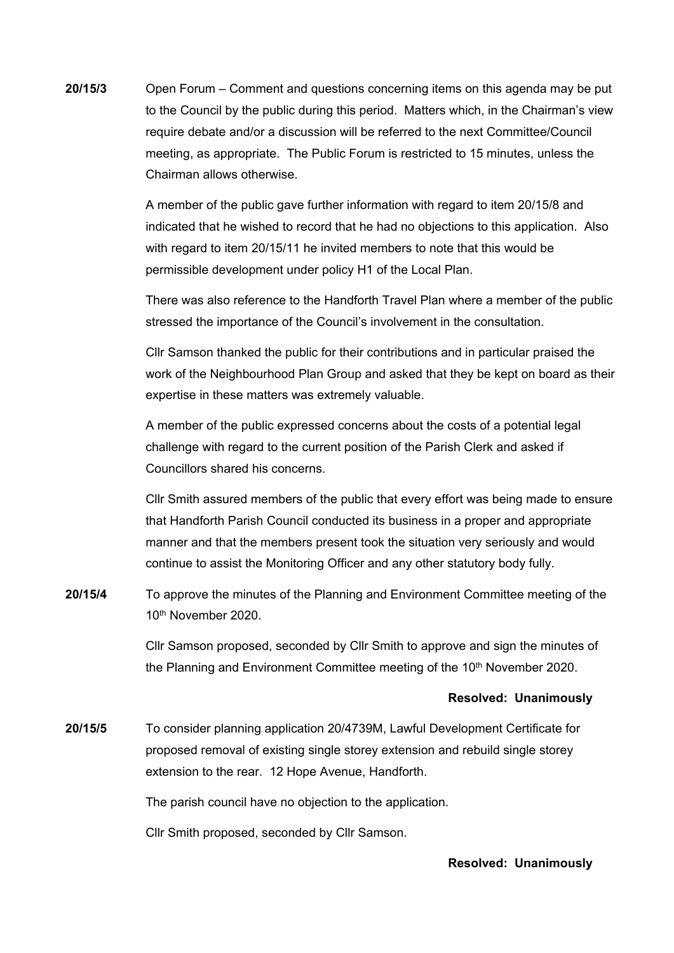**20/15/3** Open Forum – Comment and questions concerning items on this agenda may be put to the Council by the public during this period. Matters which, in the Chairman's view require debate and/or a discussion will be referred to the next Committee/Council meeting, as appropriate. The Public Forum is restricted to 15 minutes, unless the Chairman allows otherwise.

> A member of the public gave further information with regard to item 20/15/8 and indicated that he wished to record that he had no objections to this application. Also with regard to item 20/15/11 he invited members to note that this would be permissible development under policy H1 of the Local Plan.

> There was also reference to the Handforth Travel Plan where a member of the public stressed the importance of the Council's involvement in the consultation.

> Cllr Samson thanked the public for their contributions and in particular praised the work of the Neighbourhood Plan Group and asked that they be kept on board as their expertise in these matters was extremely valuable.

 A member of the public expressed concerns about the costs of a potential legal challenge with regard to the current position of the Parish Clerk and asked if Councillors shared his concerns.

 Cllr Smith assured members of the public that every effort was being made to ensure that Handforth Parish Council conducted its business in a proper and appropriate manner and that the members present took the situation very seriously and would continue to assist the Monitoring Officer and any other statutory body fully.

**20/15/4** To approve the minutes of the Planning and Environment Committee meeting of the 10th November 2020.

> Cllr Samson proposed, seconded by Cllr Smith to approve and sign the minutes of the Planning and Environment Committee meeting of the 10<sup>th</sup> November 2020.

#### **Resolved: Unanimously**

**20/15/5** To consider planning application 20/4739M, Lawful Development Certificate for proposed removal of existing single storey extension and rebuild single storey extension to the rear. 12 Hope Avenue, Handforth.

The parish council have no objection to the application.

Cllr Smith proposed, seconded by Cllr Samson.

# **Resolved: Unanimously**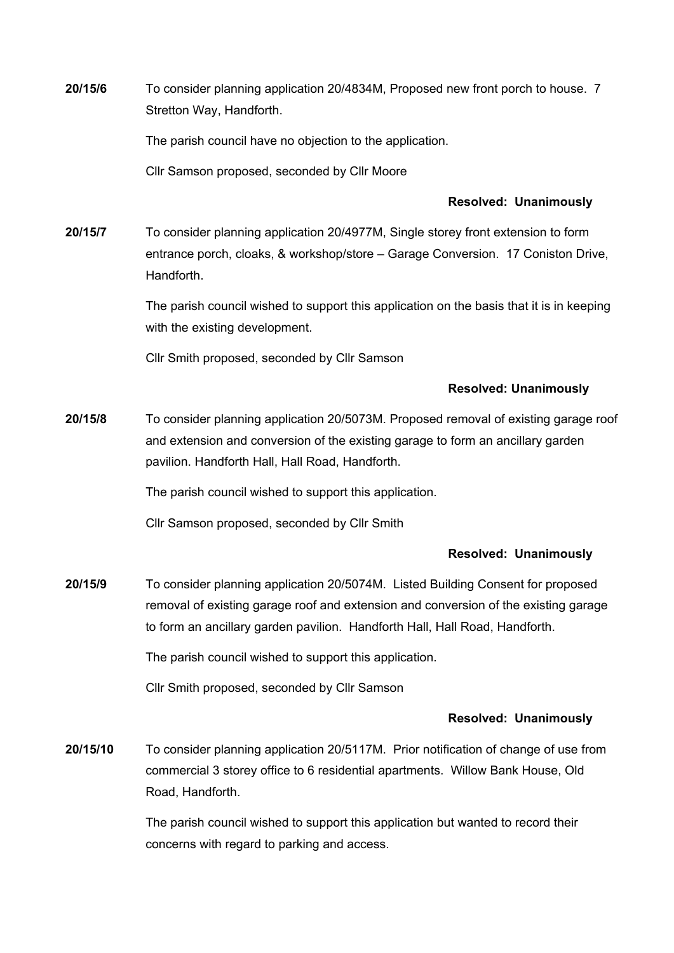**20/15/6** To consider planning application 20/4834M, Proposed new front porch to house. 7 Stretton Way, Handforth.

The parish council have no objection to the application.

Cllr Samson proposed, seconded by Cllr Moore

### **Resolved: Unanimously**

**20/15/7** To consider planning application 20/4977M, Single storey front extension to form entrance porch, cloaks, & workshop/store – Garage Conversion. 17 Coniston Drive, Handforth.

> The parish council wished to support this application on the basis that it is in keeping with the existing development.

Cllr Smith proposed, seconded by Cllr Samson

### **Resolved: Unanimously**

**20/15/8** To consider planning application 20/5073M. Proposed removal of existing garage roof and extension and conversion of the existing garage to form an ancillary garden pavilion. Handforth Hall, Hall Road, Handforth.

The parish council wished to support this application.

Cllr Samson proposed, seconded by Cllr Smith

#### **Resolved: Unanimously**

**20/15/9** To consider planning application 20/5074M. Listed Building Consent for proposed removal of existing garage roof and extension and conversion of the existing garage to form an ancillary garden pavilion. Handforth Hall, Hall Road, Handforth.

The parish council wished to support this application.

Cllr Smith proposed, seconded by Cllr Samson

## **Resolved: Unanimously**

**20/15/10** To consider planning application 20/5117M. Prior notification of change of use from commercial 3 storey office to 6 residential apartments. Willow Bank House, Old Road, Handforth.

> The parish council wished to support this application but wanted to record their concerns with regard to parking and access.